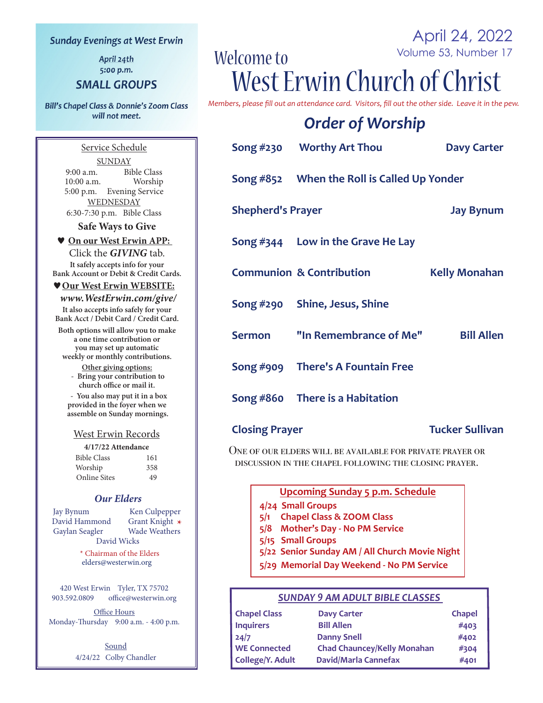#### **Sunday Evenings at West Erwin**

April 24th 5:00 p.m.

#### **SMALL GROUPS**

**Bill's Chapel Class & Donnie's Zoom Class** will not meet.

April 24, 2022 Volume 53, Number 17 Welcome to West Erwin Church of Christ

*Members, please fill out an attendance card. Visitors, fill out the other side. Leave it in the pew.*

### *Order of Worship*

|                          | Song #230 Worthy Art Thou                   | <b>Davy Carter</b>   |
|--------------------------|---------------------------------------------|----------------------|
|                          | Song #852 When the Roll is Called Up Yonder |                      |
| <b>Shepherd's Prayer</b> |                                             | <b>Jay Bynum</b>     |
|                          | Song $#344$ Low in the Grave He Lay         |                      |
|                          | <b>Communion &amp; Contribution</b>         | <b>Kelly Monahan</b> |
|                          | Song #290 Shine, Jesus, Shine               |                      |
|                          | Sermon "In Remembrance of Me"               | <b>Bill Allen</b>    |
|                          | Song #909 There's A Fountain Free           |                      |
|                          | Song #860 There is a Habitation             |                      |

#### **Closing Prayer Tucker Sullivan**

One of our elders will be available for private prayer or discussion in the chapel following the closing prayer.

**Upcoming Sunday 5 p.m. Schedule**

- **4/24 Small Groups**
- **5/1 Chapel Class & ZOOM Class**
- **5/8 Mother's Day No PM Service**
- **5/15 Small Groups**
- **5/22 Senior Sunday AM / All Church Movie Night**
- **5/29 Memorial Day Weekend No PM Service**

#### *SUNDAY 9 AM ADULT BIBLE CLASSES*

| <b>Chapel Class</b> | <b>Davy Carter</b>                 | <b>Chapel</b> |
|---------------------|------------------------------------|---------------|
| <b>Inquirers</b>    | <b>Bill Allen</b>                  | #403          |
| 24/7                | <b>Danny Snell</b>                 | #402          |
| <b>WE Connected</b> | <b>Chad Chauncey/Kelly Monahan</b> | #304          |
| College/Y. Adult    | David/Marla Cannefax               | #401          |

Service Schedule **SUNDAY** 9:00 a.m. Bible Class<br>10:00 a.m. Worship  $10:00$  a.m. 5:00 p.m. Evening Service WEDNESDAY 6:30-7:30 p.m. Bible Class

**Safe Ways to Give**

#### **On our West Erwin APP:**  Click the *GIVING* tab.

**It safely accepts info for your Bank Account or Debit & Credit Cards.**

#### **Our West Erwin WEBSITE:**

 *www.WestErwin.com/give/* **It also accepts info safely for your Bank Acct / Debit Card / Credit Card.**

**Both options will allow you to make a one time contribution or you may set up automatic weekly or monthly contributions.**

> **Other giving options: - Bring your contribution to church office or mail it.**

 **- You also may put it in a box provided in the foyer when we assemble on Sunday mornings.**

#### West Erwin Records

| 4/17/22 Attendance  |     |  |  |
|---------------------|-----|--|--|
| <b>Bible Class</b>  | 161 |  |  |
| Worship             | 358 |  |  |
| <b>Online Sites</b> | 49  |  |  |

#### *Our Elders*

Jay Bynum Ken Culpepper<br>
David Hammond Grant Knight \* David Hammond Grant Knight **\*** Gaylan Seagler David Wicks

> \* Chairman of the Elders elders@westerwin.org

420 West Erwin Tyler, TX 75702 903.592.0809 office@westerwin.org

Office Hours Monday-Thursday 9:00 a.m. - 4:00 p.m.

> **Sound** 4/24/22 Colby Chandler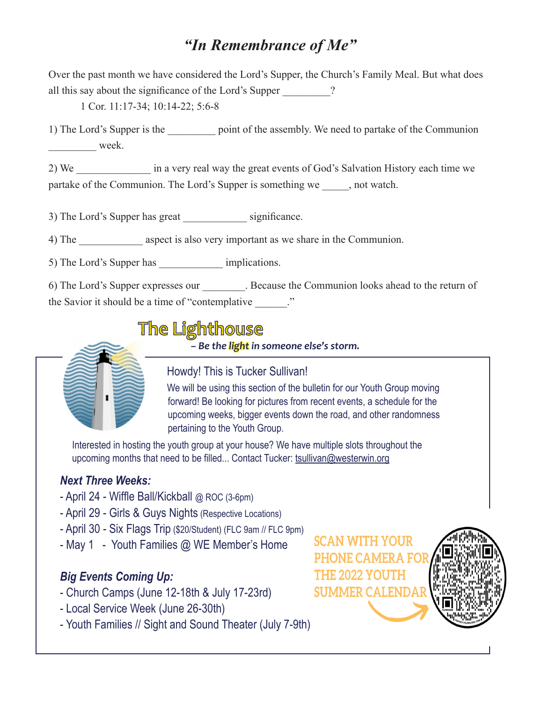### *"In Remembrance of Me"*

Over the past month we have considered the Lord's Supper, the Church's Family Meal. But what does all this say about the significance of the Lord's Supper ?

1 Cor. 11:17-34; 10:14-22; 5:6-8

1) The Lord's Supper is the point of the assembly. We need to partake of the Communion week.

2) We in a very real way the great events of God's Salvation History each time we partake of the Communion. The Lord's Supper is something we , not watch.

3) The Lord's Supper has great significance.

4) The aspect is also very important as we share in the Communion.

5) The Lord's Supper has \_\_\_\_\_\_\_\_\_\_\_\_ implications.

6) The Lord's Supper expresses our \_\_\_\_\_\_\_\_. Because the Communion looks ahead to the return of the Savior it should be a time of "contemplative"

## The Lighthouse

*– Be the light in someone else's storm.*



Howdy! This is Tucker Sullivan!

 We will be using this section of the bulletin for our Youth Group moving forward! Be looking for pictures from recent events, a schedule for the upcoming weeks, bigger events down the road, and other randomness pertaining to the Youth Group.

 Interested in hosting the youth group at your house? We have multiple slots throughout the upcoming months that need to be filled... Contact Tucker: tsullivan@westerwin.org

### *Next Three Weeks:*

- April 24 Wiffle Ball/Kickball @ ROC (3-6pm)
- April 29 Girls & Guys Nights (Respective Locations)
- April 30 Six Flags Trip (\$20/Student) (FLC 9am // FLC 9pm)
- May 1 Youth Families @ WE Member's Home

### *Big Events Coming Up:*

- Church Camps (June 12-18th & July 17-23rd)
- Local Service Week (June 26-30th)
- Youth Families // Sight and Sound Theater (July 7-9th)

**SCAN WITH YOUR PHONE CAMERA THE 2022 YOUTH SUMMER CALENDAR** 

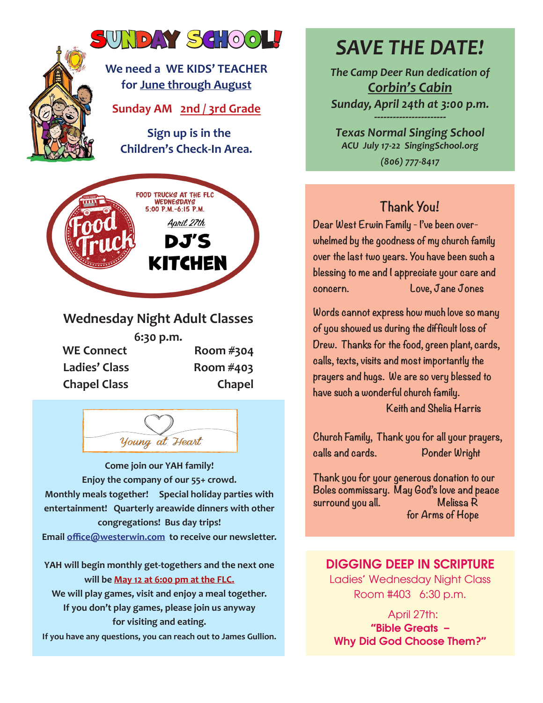

**6:30 p.m.** WE Connect Room #304 **Ladies' Class Room #403 Chapel Class Chapel**



**Come join our YAH family! Enjoy the company of our 55+ crowd. Monthly meals together! Special holiday parties with entertainment! Quarterly areawide dinners with other congregations! Bus day trips! Email office@westerwin.com to receive our newsletter.**

**YAH will begin monthly get-togethers and the next one will be May 12 at 6:00 pm at the FLC. We will play games, visit and enjoy a meal together. If you don't play games, please join us anyway for visiting and eating. If you have any questions, you can reach out to James Gullion.**

## *SAVE THE DATE!*

*The Camp Deer Run dedication of Corbin's Cabin Sunday, April 24th at 3:00 p.m. -----------------------*

*Texas Normal Singing School ACU July 17-22 SingingSchool.org (806) 777-8417*

### **Thank You!**

**Dear West Erwin Family - I've been overwhelmed by the goodness of my church family over the last two years. You have been such a blessing to me and I appreciate your care and concern. Love, Jane Jones**

**Words cannot express how much love so many of you showed us during the difficult loss of Drew. Thanks for the food, green plant, cards, calls, texts, visits and most importantly the prayers and hugs. We are so very blessed to have such a wonderful church family.** 

 **Keith and Shelia Harris** 

**Church Family, Thank you for all your prayers, calls and cards. Ponder Wright**

**Thank you for your generous donation to our Boles commissary. May God's love and peace surround you all. Melissa R for Arms of Hope**

### DIGGING DEEP IN SCRIPTURE

Ladies' Wednesday Night Class Room #403 6:30 p.m.

 April 27th: "Bible Greats – Why Did God Choose Them?"